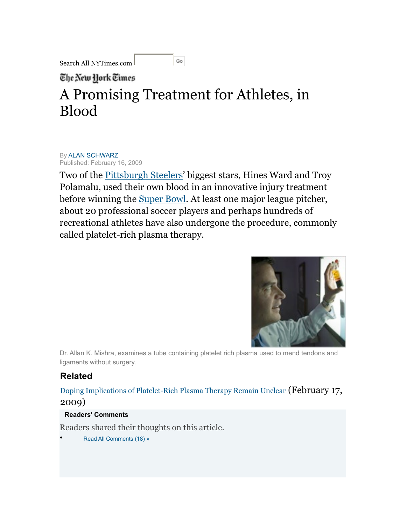Go Search All NYTimes.com

The New York Times

## A Promising Treatment for Athletes, in Blood

By [ALAN SCHWARZ](http://topics.nytimes.com/top/reference/timestopics/people/s/alan_schwarz/index.html?inline=nyt-per) Published: February 16, 2009

Two of the **[Pittsburgh Steelers'](http://topics.nytimes.com/top/news/sports/profootball/nationalfootballleague/pittsburghsteelers/index.html?inline=nyt-org)** biggest stars, Hines Ward and Troy Polamalu, used their own blood in an innovative injury treatment before winning the [Super Bowl](http://topics.nytimes.com/top/reference/timestopics/subjects/s/super_bowl/index.html?inline=nyt-classifier). At least one major league pitcher, about 20 professional soccer players and perhaps hundreds of recreational athletes have also undergone the procedure, commonly called platelet-rich plasma therapy.



Dr. Allan K. Mishra, examines a tube containing platelet rich plasma used to mend tendons and ligaments without surgery.

## **Related**

[Doping Implications of Platelet-Rich Plasma Therapy Remain Unclear](http://www.nytimes.com/2009/02/17/sports/17bloodside.html?ref=sports) (February 17, 2009)

## **Readers' Comments**

Readers shared their thoughts on this article.

• [Read All Comments \(18\) »](http://community.nytimes.com/article/comments/2009/02/17/sports/17blood.html)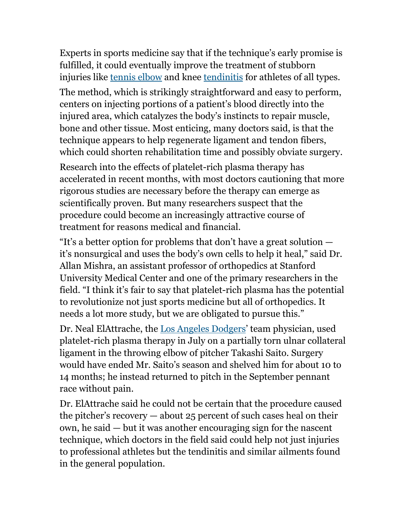Experts in sports medicine say that if the technique's early promise is fulfilled, it could eventually improve the treatment of stubborn injuries like [tennis elbow](http://health.nytimes.com/health/guides/disease/tennis-elbow/overview.html?inline=nyt-classifier) and knee [tendinitis](http://health.nytimes.com/health/guides/disease/tendinitis/overview.html?inline=nyt-classifier) for athletes of all types.

The method, which is strikingly straightforward and easy to perform, centers on injecting portions of a patient's blood directly into the injured area, which catalyzes the body's instincts to repair muscle, bone and other tissue. Most enticing, many doctors said, is that the technique appears to help regenerate ligament and tendon fibers, which could shorten rehabilitation time and possibly obviate surgery.

Research into the effects of platelet-rich plasma therapy has accelerated in recent months, with most doctors cautioning that more rigorous studies are necessary before the therapy can emerge as scientifically proven. But many researchers suspect that the procedure could become an increasingly attractive course of treatment for reasons medical and financial.

"It's a better option for problems that don't have a great solution it's nonsurgical and uses the body's own cells to help it heal," said Dr. Allan Mishra, an assistant professor of orthopedics at Stanford University Medical Center and one of the primary researchers in the field. "I think it's fair to say that platelet-rich plasma has the potential to revolutionize not just sports medicine but all of orthopedics. It needs a lot more study, but we are obligated to pursue this."

Dr. Neal ElAttrache, the [Los Angeles Dodgers'](http://topics.nytimes.com/top/news/sports/baseball/majorleague/losangelesdodgers/index.html?inline=nyt-org) team physician, used platelet-rich plasma therapy in July on a partially torn ulnar collateral ligament in the throwing elbow of pitcher Takashi Saito. Surgery would have ended Mr. Saito's season and shelved him for about 10 to 14 months; he instead returned to pitch in the September pennant race without pain.

Dr. ElAttrache said he could not be certain that the procedure caused the pitcher's recovery — about 25 percent of such cases heal on their own, he said — but it was another encouraging sign for the nascent technique, which doctors in the field said could help not just injuries to professional athletes but the tendinitis and similar ailments found in the general population.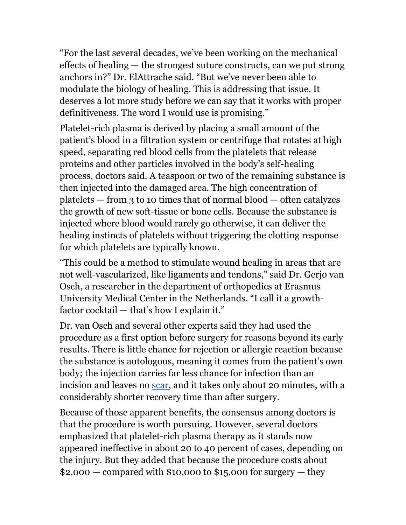"For the last several decades, we've been working on the mechanical effects of healing — the strongest suture constructs, can we put strong anchors in?" Dr. ElAttrache said. "But we've never been able to modulate the biology of healing. This is addressing that issue. It deserves a lot more study before we can say that it works with proper definitiveness. The word I would use is promising."

Platelet-rich plasma is derived by placing a small amount of the patient's blood in a filtration system or centrifuge that rotates at high speed, separating red blood cells from the platelets that release proteins and other particles involved in the body's self-healing process, doctors said. A teaspoon or two of the remaining substance is then injected into the damaged area. The high concentration of platelets  $-$  from 3 to 10 times that of normal blood  $-$  often catalyzes the growth of new soft-tissue or bone cells. Because the substance is injected where blood would rarely go otherwise, it can deliver the healing instincts of platelets without triggering the clotting response for which platelets are typically known.

"This could be a method to stimulate wound healing in areas that are not well-vascularized, like ligaments and tendons," said Dr. Gerjo van Osch, a researcher in the department of orthopedics at Erasmus University Medical Center in the Netherlands. "I call it a growthfactor cocktail — that's how I explain it."

Dr. van Osch and several other experts said they had used the procedure as a first option before surgery for reasons beyond its early results. There is little chance for rejection or allergic reaction because the substance is autologous, meaning it comes from the patient's own body; the injection carries far less chance for infection than an incision and leaves no [scar](http://health.nytimes.com/health/guides/disease/keloids/overview.html?inline=nyt-classifier), and it takes only about 20 minutes, with a considerably shorter recovery time than after surgery.

Because of those apparent benefits, the consensus among doctors is that the procedure is worth pursuing. However, several doctors emphasized that platelet-rich plasma therapy as it stands now appeared ineffective in about 20 to 40 percent of cases, depending on the injury. But they added that because the procedure costs about  $$2,000$  – compared with  $$10,000$  to  $$15,000$  for surgery – they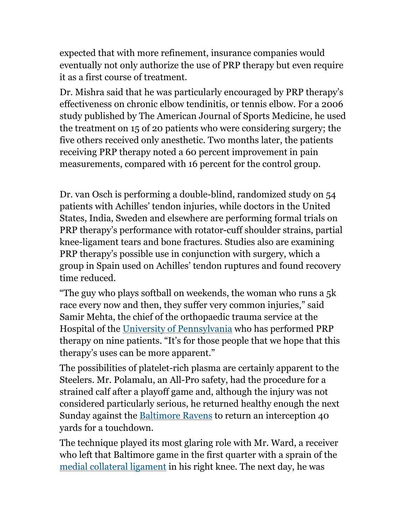expected that with more refinement, insurance companies would eventually not only authorize the use of PRP therapy but even require it as a first course of treatment.

Dr. Mishra said that he was particularly encouraged by PRP therapy's effectiveness on chronic elbow tendinitis, or tennis elbow. For a 2006 study published by The American Journal of Sports Medicine, he used the treatment on 15 of 20 patients who were considering surgery; the five others received only anesthetic. Two months later, the patients receiving PRP therapy noted a 60 percent improvement in pain measurements, compared with 16 percent for the control group.

Dr. van Osch is performing a double-blind, randomized study on 54 patients with Achilles' tendon injuries, while doctors in the United States, India, Sweden and elsewhere are performing formal trials on PRP therapy's performance with rotator-cuff shoulder strains, partial knee-ligament tears and bone fractures. Studies also are examining PRP therapy's possible use in conjunction with surgery, which a group in Spain used on Achilles' tendon ruptures and found recovery time reduced.

"The guy who plays softball on weekends, the woman who runs a 5k race every now and then, they suffer very common injuries," said Samir Mehta, the chief of the orthopaedic trauma service at the Hospital of the [University of Pennsylvania](http://topics.nytimes.com/top/reference/timestopics/organizations/u/university_of_pennsylvania/index.html?inline=nyt-org) who has performed PRP therapy on nine patients. "It's for those people that we hope that this therapy's uses can be more apparent."

The possibilities of platelet-rich plasma are certainly apparent to the Steelers. Mr. Polamalu, an All-Pro safety, had the procedure for a strained calf after a playoff game and, although the injury was not considered particularly serious, he returned healthy enough the next Sunday against the [Baltimore Ravens](http://topics.nytimes.com/top/news/sports/profootball/nationalfootballleague/baltimoreravens/index.html?inline=nyt-org) to return an interception 40 yards for a touchdown.

The technique played its most glaring role with Mr. Ward, a receiver who left that Baltimore game in the first quarter with a sprain of the [medial collateral ligament](http://health.nytimes.com/health/guides/injury/medial-collateral-ligament-mcl-injury-of-the-knee/overview.html?inline=nyt-classifier) in his right knee. The next day, he was